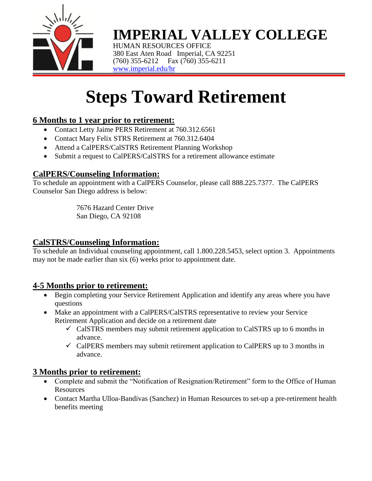

# **IMPERIAL VALLEY COLLEGE**

HUMAN RESOURCES OFFICE 380 East Aten Road Imperial, CA 92251  $(760)$  355-6212 Fax  $(760)$  355-6211 [www.imperial.edu/hr](http://www.imperial.edu/hr)

# **Steps Toward Retirement**

# **6 Months to 1 year prior to retirement:**

- Contact Letty Jaime PERS Retirement at 760.312.6561
- Contact Mary Felix STRS Retirement at 760.312.6404
- Attend a CalPERS/CalSTRS Retirement Planning Workshop
- Submit a request to CalPERS/CalSTRS for a retirement allowance estimate

#### **CalPERS/Counseling Information:**

To schedule an appointment with a CalPERS Counselor, please call 888.225.7377. The CalPERS Counselor San Diego address is below:

> 7676 Hazard Center Drive San Diego, CA 92108

#### **CalSTRS/Counseling Information:**

To schedule an Individual counseling appointment, call 1.800.228.5453, select option 3. Appointments may not be made earlier than six (6) weeks prior to appointment date.

## **4-5 Months prior to retirement:**

- Begin completing your Service Retirement Application and identify any areas where you have questions
- Make an appointment with a CalPERS/CalSTRS representative to review your Service Retirement Application and decide on a retirement date
	- $\checkmark$  CalSTRS members may submit retirement application to CalSTRS up to 6 months in advance.
	- $\checkmark$  CalPERS members may submit retirement application to CalPERS up to 3 months in advance.

## **3 Months prior to retirement:**

- Complete and submit the "Notification of Resignation/Retirement" form to the Office of Human **Resources**
- Contact Martha Ulloa-Bandivas (Sanchez) in Human Resources to set-up a pre-retirement health benefits meeting